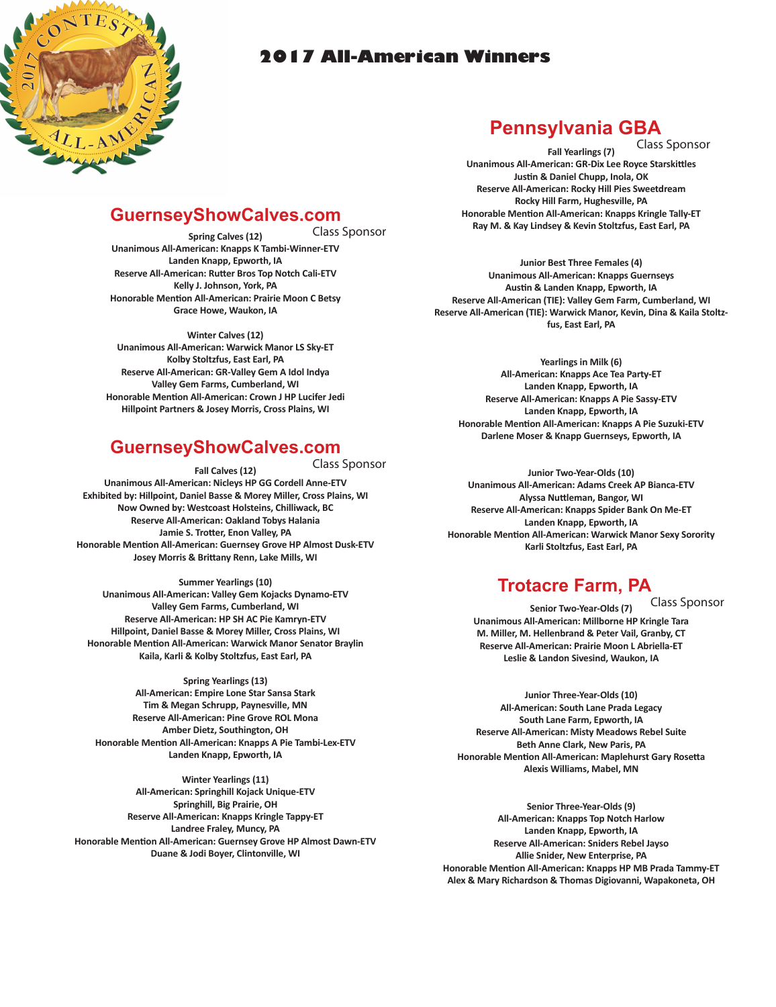

### **2017 All-American Winners**

# **Pennsylvania GBA**

Class Sponsor

**Fall Yearlings (7) Unanimous All-American: GR-Dix Lee Royce Starskittles Justin & Daniel Chupp, Inola, OK Reserve All-American: Rocky Hill Pies Sweetdream Rocky Hill Farm, Hughesville, PA Honorable Mention All-American: Knapps Kringle Tally-ET Ray M. & Kay Lindsey & Kevin Stoltzfus, East Earl, PA**

**Junior Best Three Females (4) Unanimous All-American: Knapps Guernseys Austin & Landen Knapp, Epworth, IA Reserve All-American (TIE): Valley Gem Farm, Cumberland, WI Reserve All-American (TIE): Warwick Manor, Kevin, Dina & Kaila Stoltzfus, East Earl, PA**

**Yearlings in Milk (6) All-American: Knapps Ace Tea Party-ET Landen Knapp, Epworth, IA Reserve All-American: Knapps A Pie Sassy-ETV Landen Knapp, Epworth, IA Honorable Mention All-American: Knapps A Pie Suzuki-ETV Darlene Moser & Knapp Guernseys, Epworth, IA**

**Junior Two-Year-Olds (10) Unanimous All-American: Adams Creek AP Bianca-ETV Alyssa Nuttleman, Bangor, WI Reserve All-American: Knapps Spider Bank On Me-ET Landen Knapp, Epworth, IA Honorable Mention All-American: Warwick Manor Sexy Sorority Karli Stoltzfus, East Earl, PA**

# **Trotacre Farm, PA**

**Senior Two-Year-Olds (7) Unanimous All-American: Millborne HP Kringle Tara M. Miller, M. Hellenbrand & Peter Vail, Granby, CT Reserve All-American: Prairie Moon L Abriella-ET Leslie & Landon Sivesind, Waukon, IA** Class Sponsor

**Junior Three-Year-Olds (10) All-American: South Lane Prada Legacy South Lane Farm, Epworth, IA Reserve All-American: Misty Meadows Rebel Suite Beth Anne Clark, New Paris, PA Honorable Mention All-American: Maplehurst Gary Rosetta Alexis Williams, Mabel, MN**

**Senior Three-Year-Olds (9) All-American: Knapps Top Notch Harlow Landen Knapp, Epworth, IA Reserve All-American: Sniders Rebel Jayso Allie Snider, New Enterprise, PA Honorable Mention All-American: Knapps HP MB Prada Tammy-ET Alex & Mary Richardson & Thomas Digiovanni, Wapakoneta, OH**

# **GuernseyShowCalves.com**

**Spring Calves (12) Unanimous All-American: Knapps K Tambi-Winner-ETV Landen Knapp, Epworth, IA Reserve All-American: Rutter Bros Top Notch Cali-ETV Kelly J. Johnson, York, PA Honorable Mention All-American: Prairie Moon C Betsy Grace Howe, Waukon, IA** Class Sponsor

**Winter Calves (12) Unanimous All-American: Warwick Manor LS Sky-ET Kolby Stoltzfus, East Earl, PA Reserve All-American: GR-Valley Gem A Idol Indya Valley Gem Farms, Cumberland, WI Honorable Mention All-American: Crown J HP Lucifer Jedi Hillpoint Partners & Josey Morris, Cross Plains, WI**

## **GuernseyShowCalves.com**

**Fall Calves (12) Unanimous All-American: Nicleys HP GG Cordell Anne-ETV Exhibited by: Hillpoint, Daniel Basse & Morey Miller, Cross Plains, WI Now Owned by: Westcoast Holsteins, Chilliwack, BC Reserve All-American: Oakland Tobys Halania Jamie S. Trotter, Enon Valley, PA Honorable Mention All-American: Guernsey Grove HP Almost Dusk-ETV Josey Morris & Brittany Renn, Lake Mills, WI** Class Sponsor

**Summer Yearlings (10) Unanimous All-American: Valley Gem Kojacks Dynamo-ETV Valley Gem Farms, Cumberland, WI Reserve All-American: HP SH AC Pie Kamryn-ETV Hillpoint, Daniel Basse & Morey Miller, Cross Plains, WI Honorable Mention All-American: Warwick Manor Senator Braylin Kaila, Karli & Kolby Stoltzfus, East Earl, PA**

**Spring Yearlings (13) All-American: Empire Lone Star Sansa Stark Tim & Megan Schrupp, Paynesville, MN Reserve All-American: Pine Grove ROL Mona Amber Dietz, Southington, OH Honorable Mention All-American: Knapps A Pie Tambi-Lex-ETV Landen Knapp, Epworth, IA**

**Winter Yearlings (11) All-American: Springhill Kojack Unique-ETV Springhill, Big Prairie, OH Reserve All-American: Knapps Kringle Tappy-ET Landree Fraley, Muncy, PA Honorable Mention All-American: Guernsey Grove HP Almost Dawn-ETV Duane & Jodi Boyer, Clintonville, WI**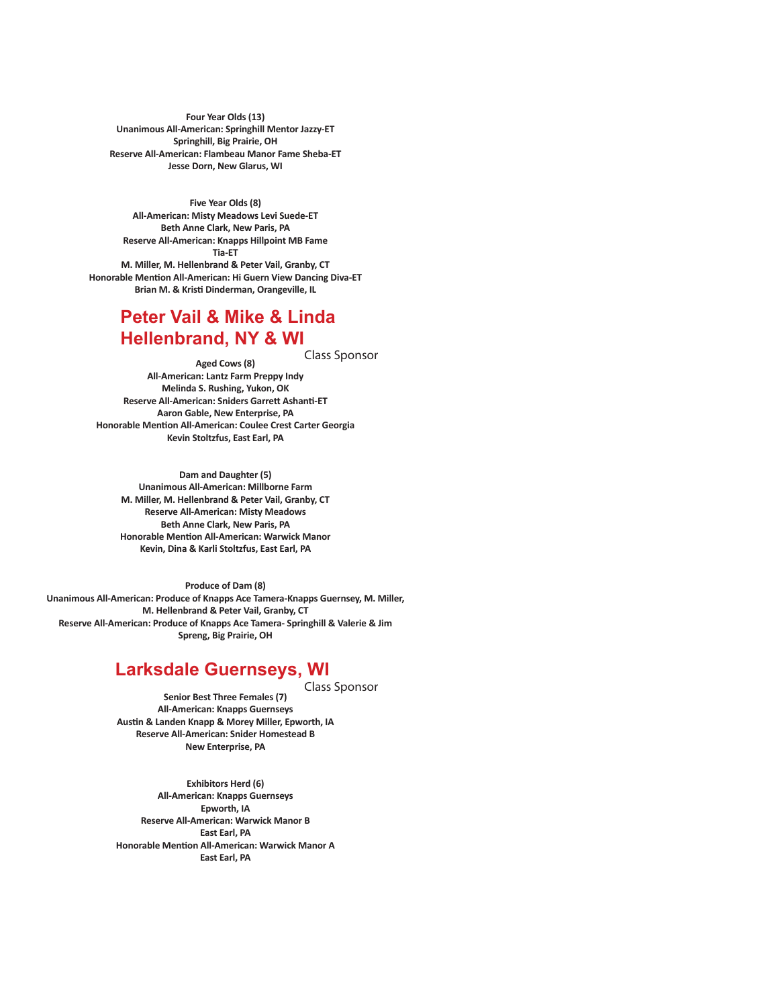**Four Year Olds (13) Unanimous All-American: Springhill Mentor Jazzy-ET Springhill, Big Prairie, OH Reserve All-American: Flambeau Manor Fame Sheba-ET Jesse Dorn, New Glarus, WI**

**Five Year Olds (8) All-American: Misty Meadows Levi Suede-ET Beth Anne Clark, New Paris, PA Reserve All-American: Knapps Hillpoint MB Fame Tia-ET M. Miller, M. Hellenbrand & Peter Vail, Granby, CT Honorable Mention All-American: Hi Guern View Dancing Diva-ET Brian M. & Kristi Dinderman, Orangeville, IL**

#### **Peter Vail & Mike & Linda Hellenbrand, NY & WI**

Class Sponsor

**Aged Cows (8) All-American: Lantz Farm Preppy Indy Melinda S. Rushing, Yukon, OK Reserve All-American: Sniders Garrett Ashanti-ET Aaron Gable, New Enterprise, PA Honorable Mention All-American: Coulee Crest Carter Georgia Kevin Stoltzfus, East Earl, PA**

**Dam and Daughter (5) Unanimous All-American: Millborne Farm M. Miller, M. Hellenbrand & Peter Vail, Granby, CT Reserve All-American: Misty Meadows Beth Anne Clark, New Paris, PA Honorable Mention All-American: Warwick Manor Kevin, Dina & Karli Stoltzfus, East Earl, PA**

**Produce of Dam (8) Unanimous All-American: Produce of Knapps Ace Tamera-Knapps Guernsey, M. Miller, M. Hellenbrand & Peter Vail, Granby, CT Reserve All-American: Produce of Knapps Ace Tamera- Springhill & Valerie & Jim Spreng, Big Prairie, OH**

#### **Larksdale Guernseys, WI**

Class Sponsor

**Senior Best Three Females (7) All-American: Knapps Guernseys Austin & Landen Knapp & Morey Miller, Epworth, IA Reserve All-American: Snider Homestead B New Enterprise, PA**

**Exhibitors Herd (6) All-American: Knapps Guernseys Epworth, IA Reserve All-American: Warwick Manor B East Earl, PA Honorable Mention All-American: Warwick Manor A East Earl, PA**